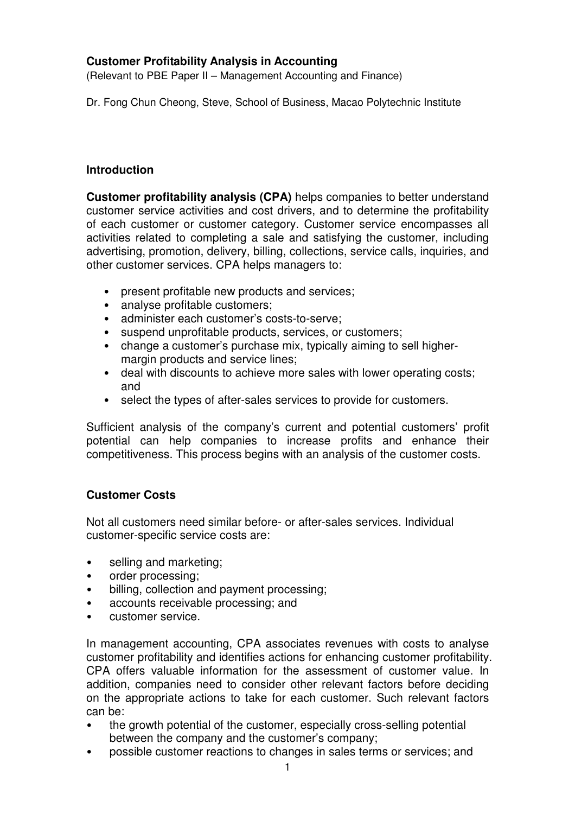# **Customer Profitability Analysis in Accounting**

(Relevant to PBE Paper II – Management Accounting and Finance)

Dr. Fong Chun Cheong, Steve, School of Business, Macao Polytechnic Institute

#### **Introduction**

**Customer profitability analysis (CPA)** helps companies to better understand customer service activities and cost drivers, and to determine the profitability of each customer or customer category. Customer service encompasses all activities related to completing a sale and satisfying the customer, including advertising, promotion, delivery, billing, collections, service calls, inquiries, and other customer services. CPA helps managers to:

- present profitable new products and services;
- analyse profitable customers;
- administer each customer's costs-to-serve;
- suspend unprofitable products, services, or customers;
- change a customer's purchase mix, typically aiming to sell highermargin products and service lines;
- deal with discounts to achieve more sales with lower operating costs; and
- select the types of after-sales services to provide for customers.

Sufficient analysis of the company's current and potential customers' profit potential can help companies to increase profits and enhance their competitiveness. This process begins with an analysis of the customer costs.

# **Customer Costs**

Not all customers need similar before- or after-sales services. Individual customer-specific service costs are:

- selling and marketing;
- order processing;
- billing, collection and payment processing;
- accounts receivable processing; and
- customer service.

In management accounting, CPA associates revenues with costs to analyse customer profitability and identifies actions for enhancing customer profitability. CPA offers valuable information for the assessment of customer value. In addition, companies need to consider other relevant factors before deciding on the appropriate actions to take for each customer. Such relevant factors can be:

- the growth potential of the customer, especially cross-selling potential between the company and the customer's company;
- possible customer reactions to changes in sales terms or services; and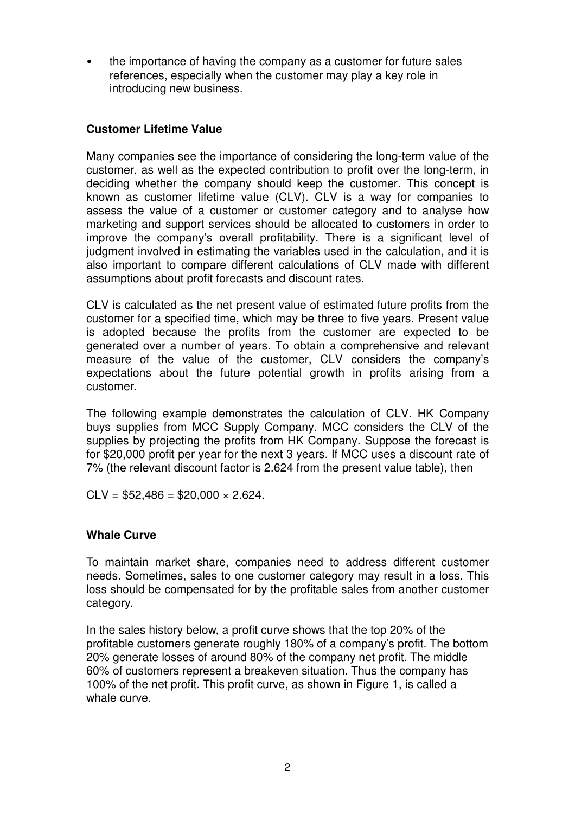• the importance of having the company as a customer for future sales references, especially when the customer may play a key role in introducing new business.

#### **Customer Lifetime Value**

Many companies see the importance of considering the long-term value of the customer, as well as the expected contribution to profit over the long-term, in deciding whether the company should keep the customer. This concept is known as customer lifetime value (CLV). CLV is a way for companies to assess the value of a customer or customer category and to analyse how marketing and support services should be allocated to customers in order to improve the company's overall profitability. There is a significant level of judgment involved in estimating the variables used in the calculation, and it is also important to compare different calculations of CLV made with different assumptions about profit forecasts and discount rates.

CLV is calculated as the net present value of estimated future profits from the customer for a specified time, which may be three to five years. Present value is adopted because the profits from the customer are expected to be generated over a number of years. To obtain a comprehensive and relevant measure of the value of the customer, CLV considers the company's expectations about the future potential growth in profits arising from a customer.

The following example demonstrates the calculation of CLV. HK Company buys supplies from MCC Supply Company. MCC considers the CLV of the supplies by projecting the profits from HK Company. Suppose the forecast is for \$20,000 profit per year for the next 3 years. If MCC uses a discount rate of 7% (the relevant discount factor is 2.624 from the present value table), then

 $CLV = $52,486 = $20,000 \times 2.624$ .

#### **Whale Curve**

To maintain market share, companies need to address different customer needs. Sometimes, sales to one customer category may result in a loss. This loss should be compensated for by the profitable sales from another customer category.

In the sales history below, a profit curve shows that the top 20% of the profitable customers generate roughly 180% of a company's profit. The bottom 20% generate losses of around 80% of the company net profit. The middle 60% of customers represent a breakeven situation. Thus the company has 100% of the net profit. This profit curve, as shown in Figure 1, is called a whale curve.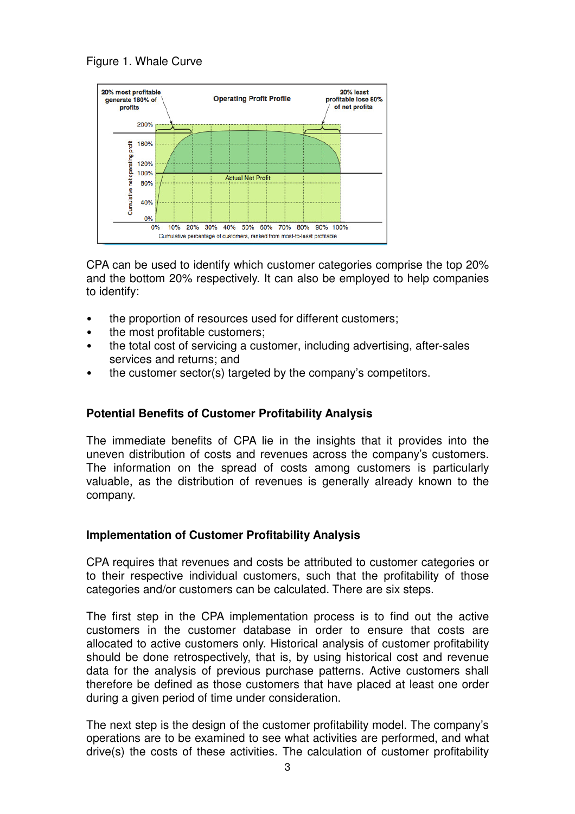



CPA can be used to identify which customer categories comprise the top 20% and the bottom 20% respectively. It can also be employed to help companies to identify:

- the proportion of resources used for different customers;
- the most profitable customers;
- the total cost of servicing a customer, including advertising, after-sales services and returns; and
- the customer sector(s) targeted by the company's competitors.

# **Potential Benefits of Customer Profitability Analysis**

The immediate benefits of CPA lie in the insights that it provides into the uneven distribution of costs and revenues across the company's customers. The information on the spread of costs among customers is particularly valuable, as the distribution of revenues is generally already known to the company.

# **Implementation of Customer Profitability Analysis**

CPA requires that revenues and costs be attributed to customer categories or to their respective individual customers, such that the profitability of those categories and/or customers can be calculated. There are six steps.

The first step in the CPA implementation process is to find out the active customers in the customer database in order to ensure that costs are allocated to active customers only. Historical analysis of customer profitability should be done retrospectively, that is, by using historical cost and revenue data for the analysis of previous purchase patterns. Active customers shall therefore be defined as those customers that have placed at least one order during a given period of time under consideration.

The next step is the design of the customer profitability model. The company's operations are to be examined to see what activities are performed, and what drive(s) the costs of these activities. The calculation of customer profitability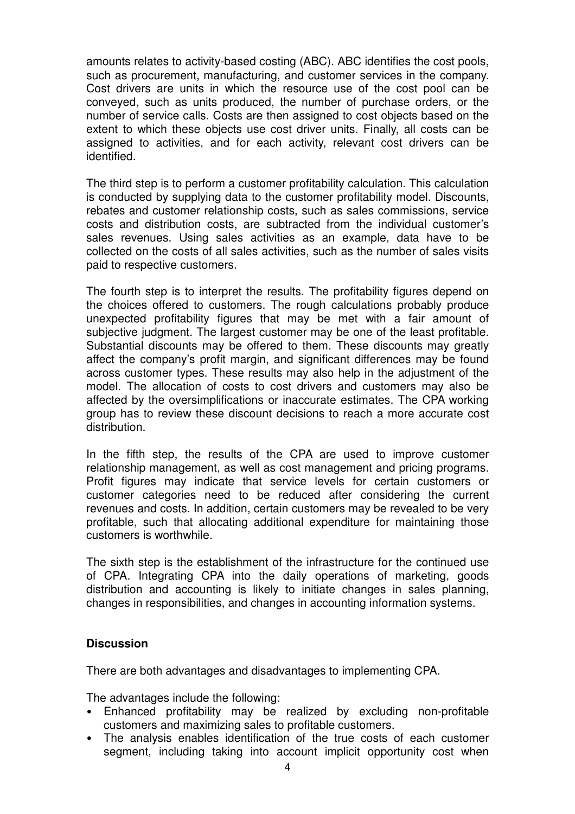amounts relates to activity-based costing (ABC). ABC identifies the cost pools, such as procurement, manufacturing, and customer services in the company. Cost drivers are units in which the resource use of the cost pool can be conveyed, such as units produced, the number of purchase orders, or the number of service calls. Costs are then assigned to cost objects based on the extent to which these objects use cost driver units. Finally, all costs can be assigned to activities, and for each activity, relevant cost drivers can be identified.

The third step is to perform a customer profitability calculation. This calculation is conducted by supplying data to the customer profitability model. Discounts, rebates and customer relationship costs, such as sales commissions, service costs and distribution costs, are subtracted from the individual customer's sales revenues. Using sales activities as an example, data have to be collected on the costs of all sales activities, such as the number of sales visits paid to respective customers.

The fourth step is to interpret the results. The profitability figures depend on the choices offered to customers. The rough calculations probably produce unexpected profitability figures that may be met with a fair amount of subjective judgment. The largest customer may be one of the least profitable. Substantial discounts may be offered to them. These discounts may greatly affect the company's profit margin, and significant differences may be found across customer types. These results may also help in the adjustment of the model. The allocation of costs to cost drivers and customers may also be affected by the oversimplifications or inaccurate estimates. The CPA working group has to review these discount decisions to reach a more accurate cost distribution.

In the fifth step, the results of the CPA are used to improve customer relationship management, as well as cost management and pricing programs. Profit figures may indicate that service levels for certain customers or customer categories need to be reduced after considering the current revenues and costs. In addition, certain customers may be revealed to be very profitable, such that allocating additional expenditure for maintaining those customers is worthwhile.

The sixth step is the establishment of the infrastructure for the continued use of CPA. Integrating CPA into the daily operations of marketing, goods distribution and accounting is likely to initiate changes in sales planning, changes in responsibilities, and changes in accounting information systems.

# **Discussion**

There are both advantages and disadvantages to implementing CPA.

The advantages include the following:

- Enhanced profitability may be realized by excluding non-profitable customers and maximizing sales to profitable customers.
- The analysis enables identification of the true costs of each customer segment, including taking into account implicit opportunity cost when